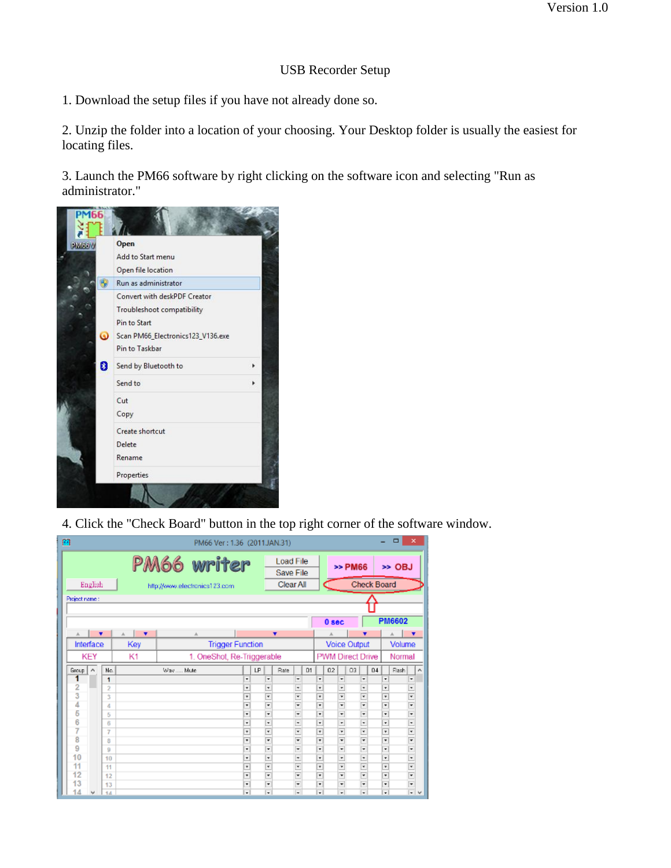## USB Recorder Setup

1. Download the setup files if you have not already done so.

2. Unzip the folder into a location of your choosing. Your Desktop folder is usually the easiest for locating files.

3. Launch the PM66 software by right clicking on the software icon and selecting "Run as administrator."



4. Click the "Check Board" button in the top right corner of the software window.

| m |               |         |                         |     |   |                 |                            |                               | PM66 Ver: 1.36 (2011.JAN.31) |                          |  |                          |                               |                     |                  |                  |  |              |               |        |                    |        | $\Box$ | ×                             |  |
|---|---------------|---------|-------------------------|-----|---|-----------------|----------------------------|-------------------------------|------------------------------|--------------------------|--|--------------------------|-------------------------------|---------------------|------------------|------------------|--|--------------|---------------|--------|--------------------|--------|--------|-------------------------------|--|
|   | PM66 writer   |         |                         |     |   |                 |                            |                               |                              |                          |  |                          | <b>Load File</b><br>Save File |                     |                  |                  |  |              | >> PM66       | >> OBJ |                    |        |        |                               |  |
|   |               | English |                         |     |   |                 |                            | http://www.electronics123.com |                              |                          |  |                          | Clear All                     |                     |                  |                  |  |              |               |        | <b>Check Board</b> |        |        |                               |  |
|   | Project name: |         |                         |     |   |                 |                            |                               |                              |                          |  |                          |                               |                     |                  |                  |  |              |               |        |                    |        |        |                               |  |
|   |               |         |                         |     |   |                 |                            |                               |                              |                          |  |                          |                               |                     |                  |                  |  |              |               |        |                    |        |        |                               |  |
|   |               |         |                         |     |   |                 |                            |                               |                              |                          |  |                          |                               |                     |                  | 0 <sub>sec</sub> |  |              | <b>PM6602</b> |        |                    |        |        |                               |  |
|   | A.            | ▼       |                         | A.  | ۰ |                 |                            | A.                            |                              |                          |  |                          | ▼                             |                     |                  |                  |  |              |               |        |                    |        | A      | v                             |  |
|   | Interface     |         |                         | Key |   |                 |                            |                               | <b>Trigger Function</b>      |                          |  |                          |                               |                     |                  |                  |  | Voice Output |               | Volume |                    |        |        |                               |  |
|   |               | KEY     |                         | K1  |   |                 | 1. OneShot, Re-Triggerable |                               |                              |                          |  |                          |                               |                     | PWM Direct Drive |                  |  |              |               |        |                    | Normal |        |                               |  |
|   | Group         | A       | No.                     |     |   | LP<br>Way  Mute |                            |                               |                              | Rate<br>D1               |  |                          |                               | 02<br>03            |                  |                  |  |              | 04            |        | Flash              |        | Ä      |                               |  |
|   | 1             |         | 1                       |     |   |                 |                            |                               |                              | ٠                        |  | ٠                        |                               | ÷                   |                  | ٠                |  | ٠            |               | ٠      |                    | ٠      |        | ٠                             |  |
|   | 2             |         | $\overline{\mathbf{2}}$ |     |   |                 |                            |                               |                              | ۰                        |  | ۰                        |                               | ٠                   |                  | ٠                |  | ٠            |               | ٠      |                    | ۰      |        | $\overline{\phantom{a}}$      |  |
|   | 3             |         | 3                       |     |   |                 |                            |                               |                              | ¥                        |  | ¥                        |                               | Ψ                   |                  | ¥                |  | ¥            |               | ۳      |                    | ¥      |        | ×                             |  |
|   | 4             |         | 4                       |     |   |                 |                            |                               |                              | ٠                        |  | $\overline{\phantom{0}}$ |                               | ī.                  |                  | ¥                |  | ¥            |               | ٠      |                    | ٠      |        | ÷                             |  |
|   | 6             |         | 5                       |     |   |                 |                            |                               |                              | ¥                        |  | ŀ,                       |                               | ÷                   |                  | ÷                |  | ٠            |               | ÷      |                    | ٠      |        | $\overline{\phantom{a}}$      |  |
|   | 6             |         | 6                       |     |   |                 |                            |                               |                              | ٠                        |  | ,                        |                               | -                   |                  | ÷                |  | ٠            |               | ٠      |                    | ٠      |        | ,                             |  |
|   | 7             |         | 7                       |     |   |                 |                            |                               |                              | ¥                        |  | ¥                        |                               | ¥                   |                  | ¥                |  | ¥            |               | ¥      |                    | ¥      |        | ¥                             |  |
|   | 8             |         | 8                       |     |   |                 |                            |                               |                              | $\overline{\phantom{0}}$ |  |                          |                               | ÷                   |                  | ¥                |  | ¥            |               | ٠      |                    | ¥      |        | T                             |  |
|   | 9<br>10       |         | 9                       |     |   |                 |                            |                               |                              | ٠                        |  | ÷                        |                               | ÷                   |                  | ÷                |  | ٠            |               | ÷      |                    | ٠      |        | $\overline{\phantom{a}}$      |  |
|   | 11            |         | 10                      |     |   |                 |                            |                               |                              | ٠<br>¥                   |  | $\overline{ }$<br>¥      |                               | $\overline{ }$<br>¥ |                  | ٠<br>¥           |  | ٠            |               | ٠      |                    | ۰<br>¥ |        | $\overline{\phantom{a}}$<br>¥ |  |
|   | 12            |         | 11                      |     |   |                 |                            |                               |                              | ٠                        |  | ¥                        |                               | ¥                   |                  | ٠                |  | ۳<br>÷       |               | ٠<br>÷ |                    | ¥      |        | $\overline{ }$                |  |
|   | 13            |         | 12<br>13                |     |   |                 |                            |                               |                              | ٠                        |  | ٠                        |                               | ÷                   |                  | ÷                |  | ٠            |               | ٠      |                    | ٠      |        | ÷                             |  |
|   | 14            |         | 14                      |     |   |                 |                            |                               |                              | ٠                        |  | $\overline{ }$           |                               | ÷                   |                  | ÷                |  | ٠            |               | ٠      |                    | ÷      |        | $\overline{ }$                |  |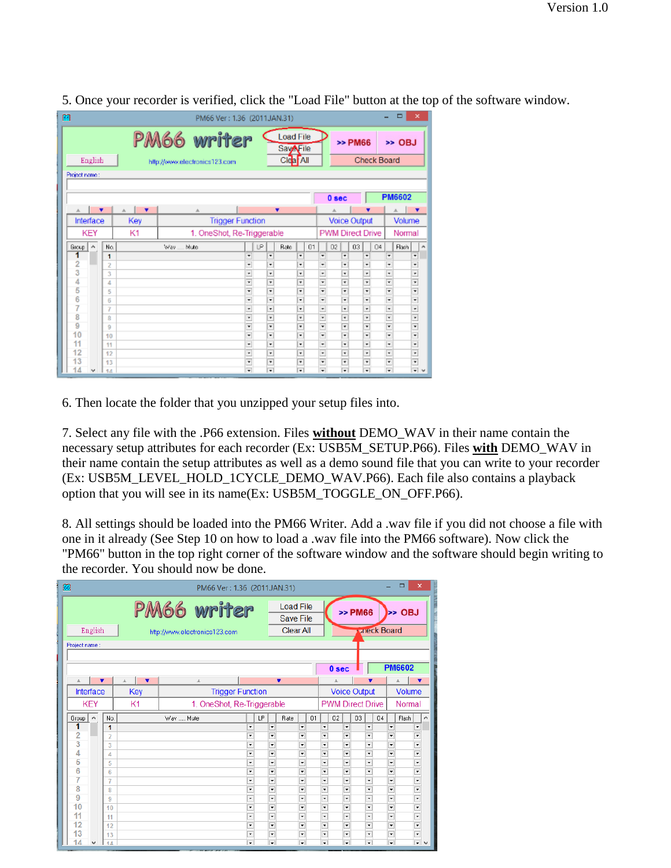| 阀              |                                                                                                                              |  |        |           |   |             |                            | PM66 Ver: 1.36 (2011JAN.31) |                |                     |                               |      |                               |    |                               |    |         |                              |  |                          | ⊟     | ×                                    |   |  |
|----------------|------------------------------------------------------------------------------------------------------------------------------|--|--------|-----------|---|-------------|----------------------------|-----------------------------|----------------|---------------------|-------------------------------|------|-------------------------------|----|-------------------------------|----|---------|------------------------------|--|--------------------------|-------|--------------------------------------|---|--|
|                | PM66 writer<br><b>Load File</b><br><b>SavAFile</b><br>Clear All<br>English<br>http://www.electronics123.com<br>Project name: |  |        |           |   |             |                            |                             |                |                     |                               |      |                               |    |                               |    | >> PM66 | >> OBJ<br><b>Check Board</b> |  |                          |       |                                      |   |  |
|                |                                                                                                                              |  |        |           |   |             |                            |                             |                |                     |                               |      |                               |    | 0 <sub>sec</sub>              |    |         |                              |  | <b>PM6602</b>            |       |                                      |   |  |
| A              |                                                                                                                              |  |        | $\Lambda$ | ▼ |             | A                          |                             |                |                     |                               | ▼    |                               |    |                               |    |         |                              |  |                          | A     | $\overline{\textbf{v}}$              |   |  |
|                | Interface<br>Key                                                                                                             |  |        |           |   |             |                            |                             |                | <b>Voice Output</b> |                               |      | Volume                        |    |                               |    |         |                              |  |                          |       |                                      |   |  |
|                | KEY                                                                                                                          |  |        | K1        |   |             | 1. OneShot, Re-Triggerable |                             |                |                     |                               |      |                               |    | <b>PWM Direct Drive</b>       |    |         |                              |  | Normal                   |       |                                      |   |  |
| Group          | ۸                                                                                                                            |  | No.    |           |   | Way<br>Mute |                            |                             |                | LP.                 |                               | Rate |                               | 01 |                               | 02 |         | 03                           |  | 04                       | Flash |                                      | ۸ |  |
|                |                                                                                                                              |  | 1      |           |   |             |                            |                             | ٠              |                     | ٠                             |      | ٠                             |    | ٠                             |    | ٠       | ٠                            |  | ≂                        |       | ٠                                    |   |  |
| $\overline{2}$ |                                                                                                                              |  | 2      |           |   |             |                            |                             | ÷              |                     | ٠                             |      | ٠                             |    | ٠                             |    | ٠       | ٠                            |  | $\overline{\phantom{a}}$ |       | ٠                                    |   |  |
| 3              |                                                                                                                              |  | 3      |           |   |             |                            |                             | $\overline{ }$ |                     | ٠                             |      | ۰                             |    | ÷                             |    | ۰       | ٠                            |  | $\overline{ }$           |       | ÷                                    |   |  |
| 4<br>5         |                                                                                                                              |  | 4      |           |   |             |                            |                             | ¥<br>÷         |                     | ¥                             |      | ٠                             |    | ¥<br>$\overline{\phantom{a}}$ |    | ₹       | ¥                            |  | $\overline{\phantom{a}}$ |       | ¥                                    |   |  |
| 6              |                                                                                                                              |  | 5      |           |   |             |                            |                             | ٠              |                     | $\overline{\phantom{0}}$<br>٠ |      | $\overline{\phantom{a}}$<br>٠ |    | ÷                             |    | ٠<br>÷  | ¥<br>Ψ                       |  | Ŧ<br>ı,                  |       | ¥<br>Ξ                               |   |  |
| 7              |                                                                                                                              |  | 6<br>7 |           |   |             |                            |                             |                |                     | ٠                             |      | ٠                             |    | ٠                             |    | ٠       | ٠                            |  | $\overline{ }$           |       | $\overline{ }$                       |   |  |
| 8              |                                                                                                                              |  | 8      |           |   |             |                            |                             | ¥              |                     | ٠                             |      | ٠                             |    | ¥                             |    | ¥       | ¥                            |  | ¥                        |       | ¥                                    |   |  |
| 9              |                                                                                                                              |  | 9      |           |   |             |                            |                             | ¥              |                     | $\overline{\phantom{0}}$      |      | ٠                             |    | ×                             |    | ₹       | ¥                            |  | ¥                        |       | ¥                                    |   |  |
| 10             |                                                                                                                              |  | 10     |           |   |             |                            |                             | ٠              |                     | ٠                             |      | ٠                             |    | ÷                             |    | ٠       | ٠                            |  | F                        |       | Ψ                                    |   |  |
| 11             |                                                                                                                              |  | 11     |           |   |             |                            |                             | ÷              |                     | ٠                             |      | ٠                             |    | $\overline{\phantom{a}}$      |    | ٠       | ۰l                           |  | ÷                        |       | $\overline{\phantom{a}}$             |   |  |
| 12             |                                                                                                                              |  | 12     |           |   |             |                            |                             | ۳              |                     | ٠                             |      | ٠                             |    | ٠                             |    | ٠       | ¥                            |  |                          |       | Ŧ                                    |   |  |
| 13             |                                                                                                                              |  | 13     |           |   |             |                            |                             | ¥              |                     | $\overline{\phantom{a}}$      |      | ▼                             |    | ,                             |    | ▼       | ¥                            |  | ¥                        |       | ¥                                    |   |  |
| 14             |                                                                                                                              |  | 14     |           |   |             |                            |                             | Ψ              |                     | ٠                             |      | Ψ                             |    | v                             |    | ÷       | v                            |  | Ī.                       |       | $\overline{\mathbf{v}}$ $\mathbf{v}$ |   |  |

5. Once your recorder is verified, click the "Load File" button at the top of the software window.

6. Then locate the folder that you unzipped your setup files into.

7. Select any file with the .P66 extension. Files **without** DEMO\_WAV in their name contain the necessary setup attributes for each recorder (Ex: USB5M\_SETUP.P66). Files **with** DEMO\_WAV in their name contain the setup attributes as well as a demo sound file that you can write to your recorder (Ex: USB5M\_LEVEL\_HOLD\_1CYCLE\_DEMO\_WAV.P66). Each file also contains a playback option that you will see in its name(Ex: USB5M\_TOGGLE\_ON\_OFF.P66).

8. All settings should be loaded into the PM66 Writer. Add a .wav file if you did not choose a file with one in it already (See Step 10 on how to load a .wav file into the PM66 software). Now click the "PM66" button in the top right corner of the software window and the software should begin writing to the recorder. You should now be done.

| ▭<br>[66]<br>PM66 Ver: 1.36 (2011.JAN.31) |                     |                                                                                                   |                                                       |                                       |    |                                                      |                         |                                                      |    |                          |                                                |                                                      |    | ×                                         |    |                                                      |       |                               |   |
|-------------------------------------------|---------------------|---------------------------------------------------------------------------------------------------|-------------------------------------------------------|---------------------------------------|----|------------------------------------------------------|-------------------------|------------------------------------------------------|----|--------------------------|------------------------------------------------|------------------------------------------------------|----|-------------------------------------------|----|------------------------------------------------------|-------|-------------------------------|---|
| English<br>Project name:                  |                     | PM66 writer<br><b>Load File</b><br><b>Save File</b><br>Clear All<br>http://www.electronics123.com |                                                       |                                       |    |                                                      |                         |                                                      |    |                          |                                                |                                                      |    | >> PM66<br>>> OBJ<br><b>Uneck Board</b>   |    |                                                      |       |                               |   |
|                                           |                     |                                                                                                   |                                                       |                                       |    |                                                      |                         |                                                      |    |                          | 0 sec                                          |                                                      |    |                                           |    | <b>PM6602</b>                                        |       |                               |   |
| 五<br>Interface                            |                     | $\overline{\mathbf{v}}$<br>A.<br>Key                                                              | A                                                     |                                       |    |                                                      | $\overline{\mathbf{v}}$ |                                                      |    |                          |                                                |                                                      |    |                                           |    |                                                      |       |                               |   |
| <b>KEY</b>                                |                     | K <sub>1</sub>                                                                                    | <b>Trigger Function</b><br>1. OneShot, Re-Triggerable |                                       |    |                                                      |                         |                                                      |    |                          | <b>Voice Output</b><br><b>PWM Direct Drive</b> |                                                      |    |                                           |    | Volume<br>Normal                                     |       |                               |   |
|                                           |                     |                                                                                                   |                                                       |                                       |    |                                                      |                         |                                                      |    |                          |                                                |                                                      |    |                                           |    |                                                      |       |                               |   |
| ۸<br>Group<br>1                           | No.                 |                                                                                                   | Wav  Mute                                             | ∓                                     | LP | $\overline{\phantom{a}}$                             | Rate                    | ÷                                                    | Q1 | ٠                        | 02                                             | ٠                                                    | 03 | ٠                                         | 04 | ÷                                                    | Flash | ٠                             | Ä |
| $\overline{2}$                            | 1<br>$\overline{2}$ |                                                                                                   |                                                       | $\overline{\phantom{a}}$              |    | $\overline{\phantom{a}}$                             |                         | $\overline{\phantom{a}}$                             |    | ٠                        |                                                | $\overline{\phantom{0}}$                             |    | ٠                                         |    | $\overline{\phantom{0}}$                             |       | ٠                             |   |
| 3                                         | 3                   |                                                                                                   |                                                       | $\overline{\phantom{a}}$              |    | 宝                                                    |                         | $\overline{\phantom{a}}$                             |    | $\overline{\phantom{0}}$ |                                                | $\overline{\phantom{0}}$                             |    | $\overline{\phantom{a}}$                  |    | $\overline{\phantom{0}}$                             |       | $\overline{\phantom{0}}$      |   |
| 4                                         | 4                   |                                                                                                   |                                                       | $\overline{\phantom{0}}$              |    | $\overline{\phantom{a}}$                             |                         | ▼                                                    |    | $\overline{\phantom{0}}$ |                                                | ÷                                                    |    | ∓                                         |    | $\overline{\phantom{0}}$                             |       | $\overline{\phantom{0}}$      |   |
| 5                                         | 5                   |                                                                                                   |                                                       | $\overline{\phantom{0}}$              |    | $\overline{\phantom{a}}$                             |                         | $\overline{\phantom{0}}$                             |    | ٠                        |                                                | ٠                                                    |    | ٠                                         |    | $\overline{\phantom{0}}$                             |       | $\overline{\phantom{a}}$      |   |
| 6                                         | 6                   |                                                                                                   |                                                       | $\overline{\phantom{0}}$              |    | $\overline{\phantom{a}}$                             |                         | $\overline{\phantom{a}}$                             |    | $\overline{\phantom{0}}$ |                                                | $\overline{\phantom{0}}$                             |    | $\overline{\phantom{0}}$                  |    | $\overline{\phantom{0}}$                             |       | $\overline{\phantom{a}}$      |   |
| 7                                         | 7                   |                                                                                                   |                                                       | $\overline{\phantom{a}}$              |    | $\overline{\phantom{a}}$                             |                         | ▼                                                    |    | ٠                        |                                                | ٠                                                    |    | ٠                                         |    | $\overline{\phantom{0}}$                             |       | $\overline{\phantom{0}}$      |   |
| 8                                         | 8                   |                                                                                                   |                                                       | $\overline{\phantom{a}}$              |    | ▼                                                    |                         | $\overline{\phantom{a}}$                             |    | ٠                        |                                                | ٠                                                    |    | ٠                                         |    | ∓                                                    |       | ٠                             |   |
| 9<br>10                                   | 9                   |                                                                                                   |                                                       | $\!\star$<br>$\overline{\phantom{0}}$ |    | $\overline{\phantom{a}}$<br>$\overline{\phantom{a}}$ |                         | $\overline{\phantom{a}}$<br>$\overline{\phantom{a}}$ |    | ۰<br>٠                   |                                                | $\overline{\phantom{a}}$<br>$\overline{\phantom{0}}$ |    | $\pmb{\cdot}$<br>$\overline{\phantom{a}}$ |    | $\overline{\phantom{0}}$<br>$\overline{\phantom{0}}$ |       | ٠<br>$\overline{\phantom{0}}$ |   |
| 11                                        | 10<br>11            |                                                                                                   |                                                       | $\overline{\phantom{a}}$              |    | $\overline{\phantom{a}}$                             |                         | $\overline{\phantom{a}}$                             |    | $\overline{\phantom{0}}$ |                                                | $\overline{\phantom{a}}$                             |    | $\overline{\phantom{a}}$                  |    | $\overline{\phantom{0}}$                             |       | $\overline{\phantom{0}}$      |   |
| 12                                        | 12                  |                                                                                                   |                                                       | $\overline{\phantom{0}}$              |    | $\overline{\phantom{a}}$                             |                         | $\overline{\phantom{a}}$                             |    | ٠                        |                                                | $\overline{\phantom{0}}$                             |    | $\overline{\phantom{0}}$                  |    | $\overline{\phantom{0}}$                             |       | $\overline{\phantom{0}}$      |   |
| 13                                        | 13                  |                                                                                                   |                                                       | $\overline{\phantom{0}}$              |    | ▼                                                    |                         | $\overline{\phantom{a}}$                             |    | $\overline{\phantom{0}}$ |                                                | $\overline{\phantom{0}}$                             |    | $\overline{\phantom{a}}$                  |    | $\overline{\phantom{0}}$                             |       | $\overline{\phantom{0}}$      |   |
| 14                                        | 14                  |                                                                                                   |                                                       | $\overline{\phantom{0}}$              |    | ⋤                                                    |                         | $\overline{\phantom{a}}$                             |    | $\overline{\phantom{0}}$ |                                                | $\overline{\phantom{0}}$                             |    | $\overline{\phantom{0}}$                  |    | $\overline{\phantom{0}}$                             |       | – ∨                           |   |